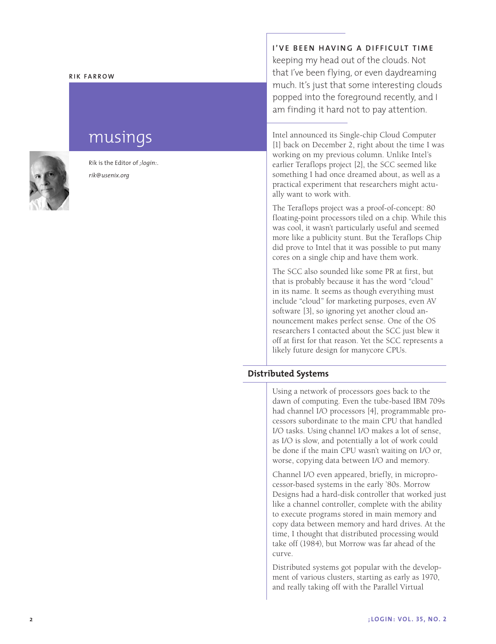### **Rik Fa rr o w**

# musings

Rik is the Editor of *;login:*. *rik@usenix.org*

**I'VE BEEN HAVING A DIFFICULT TIME** 

keeping my head out of the clouds. Not that I've been flying, or even daydreaming much. It's just that some interesting clouds popped into the foreground recently, and I am finding it hard not to pay attention.

Intel announced its Single-chip Cloud Computer [1] back on December 2, right about the time I was working on my previous column. Unlike Intel's earlier Teraflops project [2], the SCC seemed like something I had once dreamed about, as well as a practical experiment that researchers might actually want to work with.

The Teraflops project was a proof-of-concept: 80 floating-point processors tiled on a chip. While this was cool, it wasn't particularly useful and seemed more like a publicity stunt. But the Teraflops Chip did prove to Intel that it was possible to put many cores on a single chip and have them work.

The SCC also sounded like some PR at first, but that is probably because it has the word "cloud" in its name. It seems as though everything must include "cloud" for marketing purposes, even AV software [3], so ignoring yet another cloud announcement makes perfect sense. One of the OS researchers I contacted about the SCC just blew it off at first for that reason. Yet the SCC represents a likely future design for manycore CPUs.

# **Distributed Systems**

Using a network of processors goes back to the dawn of computing. Even the tube-based IBM 709s had channel I/O processors [4], programmable processors subordinate to the main CPU that handled I/O tasks. Using channel I/O makes a lot of sense, as I/O is slow, and potentially a lot of work could be done if the main CPU wasn't waiting on I/O or, worse, copying data between I/O and memory.

Channel I/O even appeared, briefly, in microprocessor-based systems in the early '80s. Morrow Designs had a hard-disk controller that worked just like a channel controller, complete with the ability to execute programs stored in main memory and copy data between memory and hard drives. At the time, I thought that distributed processing would take off (1984), but Morrow was far ahead of the curve.

Distributed systems got popular with the development of various clusters, starting as early as 1970, and really taking off with the Parallel Virtual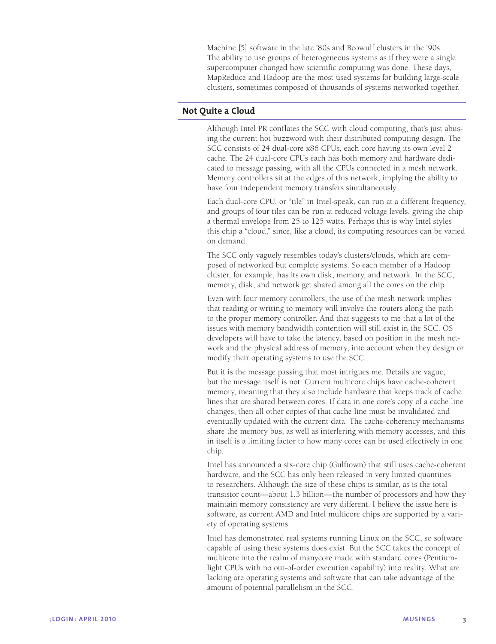Machine [5] software in the late '80s and Beowulf clusters in the '90s. The ability to use groups of heterogeneous systems as if they were a single supercomputer changed how scientific computing was done. These days, MapReduce and Hadoop are the most used systems for building large-scale clusters, sometimes composed of thousands of systems networked together.

# **Not Quite a Cloud**

Although Intel PR conflates the SCC with cloud computing, that's just abusing the current hot buzzword with their distributed computing design. The SCC consists of 24 dual-core x86 CPUs, each core having its own level 2 cache. The 24 dual-core CPUs each has both memory and hardware dedicated to message passing, with all the CPUs connected in a mesh network. Memory controllers sit at the edges of this network, implying the ability to have four independent memory transfers simultaneously.

Each dual-core CPU, or "tile" in Intel-speak, can run at a different frequency, and groups of four tiles can be run at reduced voltage levels, giving the chip a thermal envelope from 25 to 125 watts. Perhaps this is why Intel styles this chip a "cloud," since, like a cloud, its computing resources can be varied on demand.

The SCC only vaguely resembles today's clusters/clouds, which are composed of networked but complete systems. So each member of a Hadoop cluster, for example, has its own disk, memory, and network. In the SCC, memory, disk, and network get shared among all the cores on the chip.

Even with four memory controllers, the use of the mesh network implies that reading or writing to memory will involve the routers along the path to the proper memory controller. And that suggests to me that a lot of the issues with memory bandwidth contention will still exist in the SCC. OS developers will have to take the latency, based on position in the mesh network and the physical address of memory, into account when they design or modify their operating systems to use the SCC.

But it is the message passing that most intrigues me. Details are vague, but the message itself is not. Current multicore chips have cache-coherent memory, meaning that they also include hardware that keeps track of cache lines that are shared between cores. If data in one core's copy of a cache line changes, then all other copies of that cache line must be invalidated and eventually updated with the current data. The cache-coherency mechanisms share the memory bus, as well as interfering with memory accesses, and this in itself is a limiting factor to how many cores can be used effectively in one chip.

Intel has announced a six-core chip (Gulftown) that still uses cache-coherent hardware, and the SCC has only been released in very limited quantities to researchers. Although the size of these chips is similar, as is the total transistor count—about 1.3 billion—the number of processors and how they maintain memory consistency are very different. I believe the issue here is software, as current AMD and Intel multicore chips are supported by a variety of operating systems.

Intel has demonstrated real systems running Linux on the SCC, so software capable of using these systems does exist. But the SCC takes the concept of multicore into the realm of manycore made with standard cores (Pentiumlight CPUs with no out-of-order execution capability) into reality. What are lacking are operating systems and software that can take advantage of the amount of potential parallelism in the SCC.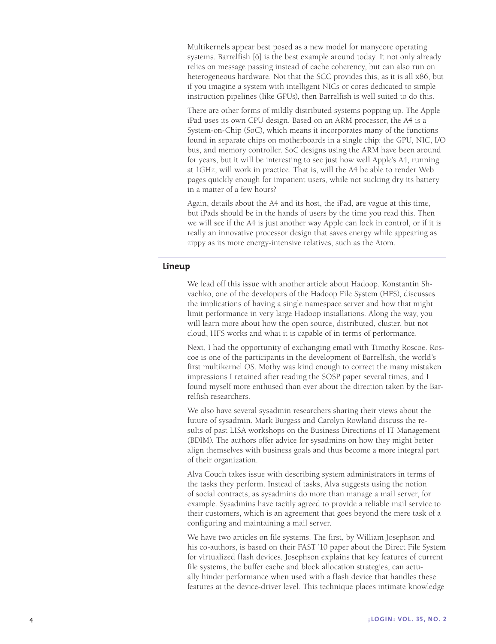Multikernels appear best posed as a new model for manycore operating systems. Barrelfish [6] is the best example around today. It not only already relies on message passing instead of cache coherency, but can also run on heterogeneous hardware. Not that the SCC provides this, as it is all x86, but if you imagine a system with intelligent NICs or cores dedicated to simple instruction pipelines (like GPUs), then Barrelfish is well suited to do this.

There are other forms of mildly distributed systems popping up. The Apple iPad uses its own CPU design. Based on an ARM processor, the A4 is a System-on-Chip (SoC), which means it incorporates many of the functions found in separate chips on motherboards in a single chip: the GPU, NIC, I/O bus, and memory controller. SoC designs using the ARM have been around for years, but it will be interesting to see just how well Apple's A4, running at 1GHz, will work in practice. That is, will the A4 be able to render Web pages quickly enough for impatient users, while not sucking dry its battery in a matter of a few hours?

Again, details about the A4 and its host, the iPad, are vague at this time, but iPads should be in the hands of users by the time you read this. Then we will see if the A4 is just another way Apple can lock in control, or if it is really an innovative processor design that saves energy while appearing as zippy as its more energy-intensive relatives, such as the Atom.

# **Lineup**

We lead off this issue with another article about Hadoop. Konstantin Shvachko, one of the developers of the Hadoop File System (HFS), discusses the implications of having a single namespace server and how that might limit performance in very large Hadoop installations. Along the way, you will learn more about how the open source, distributed, cluster, but not cloud, HFS works and what it is capable of in terms of performance.

Next, I had the opportunity of exchanging email with Timothy Roscoe. Roscoe is one of the participants in the development of Barrelfish, the world's first multikernel OS. Mothy was kind enough to correct the many mistaken impressions I retained after reading the SOSP paper several times, and I found myself more enthused than ever about the direction taken by the Barrelfish researchers.

We also have several sysadmin researchers sharing their views about the future of sysadmin. Mark Burgess and Carolyn Rowland discuss the results of past LISA workshops on the Business Directions of IT Management (BDIM). The authors offer advice for sysadmins on how they might better align themselves with business goals and thus become a more integral part of their organization.

Alva Couch takes issue with describing system administrators in terms of the tasks they perform. Instead of tasks, Alva suggests using the notion of social contracts, as sysadmins do more than manage a mail server, for example. Sysadmins have tacitly agreed to provide a reliable mail service to their customers, which is an agreement that goes beyond the mere task of a configuring and maintaining a mail server.

We have two articles on file systems. The first, by William Josephson and his co-authors, is based on their FAST '10 paper about the Direct File System for virtualized flash devices. Josephson explains that key features of current file systems, the buffer cache and block allocation strategies, can actually hinder performance when used with a flash device that handles these features at the device-driver level. This technique places intimate knowledge